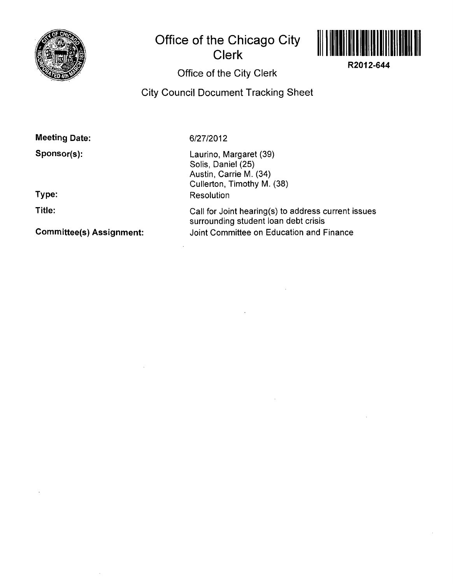

# **Office of the Chicago City Clerk**



**R2012-644** 

## **Office of the City Clerk**

**City Council Document Tracking Sheet** 

## **Meeting Date:**

**Sponsor(s):** 

**Type:** 

**Title:** 

**Committee(s) Assignment:** 

### 6/27/2012

Laurino, Margaret (39) Solis, Daniel (25) Austin, Carrie M. (34) Cullerton, Timothy M. (38) Resolution

Call for Joint hearing(s) to address current issues surrounding student loan debt crisis Joint Committee on Education and Finance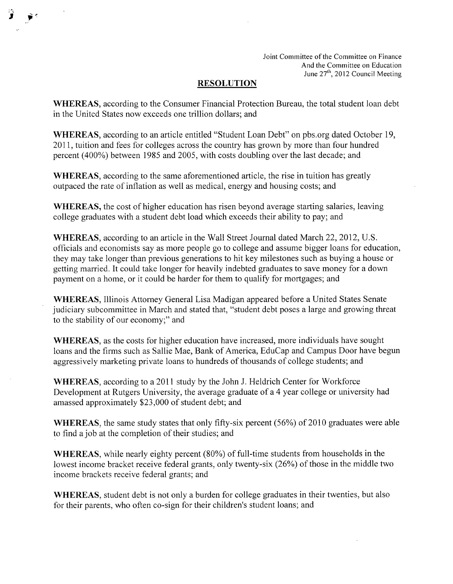Joint Committee of the Committee on Finance And the Committee on Education June 27<sup>th</sup>, 2012 Council Meeting

#### **RESOLUTION**

WHEREAS, according to the Consumer Financial Protection Bureau, the total student loan debt in the United States now exceeds one trillion dollars; and

WHEREAS, according to an article entitled "Student Loan Debt" on pbs.org dated October 19, 2011, tuition and fees for colleges across the country has grown by more than four hundred percent (400%) between 1985 and 2005, with costs doubling over the last decade; and

WHEREAS, according to the same aforementioned article, the rise in tuition has greatly outpaced the rate of inflation as well as medical, energy and housing costs; and

WHEREAS, the cost of higher education has risen beyond average starting salaries, leaving college graduates with a student debt load which exceeds their ability to pay; and

WHEREAS, according to an article in the Wall Street Journal dated March 22, 2012, U.S. officials and economists say as more people go to college and assume bigger loans for education, they may take longer than previous generations to hit key milestones such as buying a house or getting married. It could take longer for heavily indebted graduates to save money for a down payment on a home, or it could be harder for them to qualify for mortgages; and

WHEREAS, Illinois Attorney General Lisa Madigan appeared before a United States Senate judiciary subcommittee in March and stated that, "student debt poses a large and growing threat to the stability of our economy;" and

WHEREAS, as the costs for higher education have increased, more individuals have sought loans and the firms such as Sallie Mae, Bank of America, EduCap and Campus Door have begun aggressively marketing private loans to hundreds of thousands of college students; and

WHEREAS, according to a 2011 study by the John J. Heldrich Center for Workforce Development at Rutgers University, the average graduate of a 4 year college or university had amassed approximately \$23,000 of student debt; and

WHEREAS, the same study states that only fifty-six percent (56%) of 2010 graduates were able to find a job at the completion of their studies; and

WHEREAS, while nearly eighty percent (80%) of full-time students from households in the lowest income bracket receive federal grants, only twenty-six (26%) of those in the middle two income brackets receive federal grants; and

WHEREAS, student debt is not only a burden for college graduates in their twenties, but also for their parents, who often co-sign for their children's student loans; and